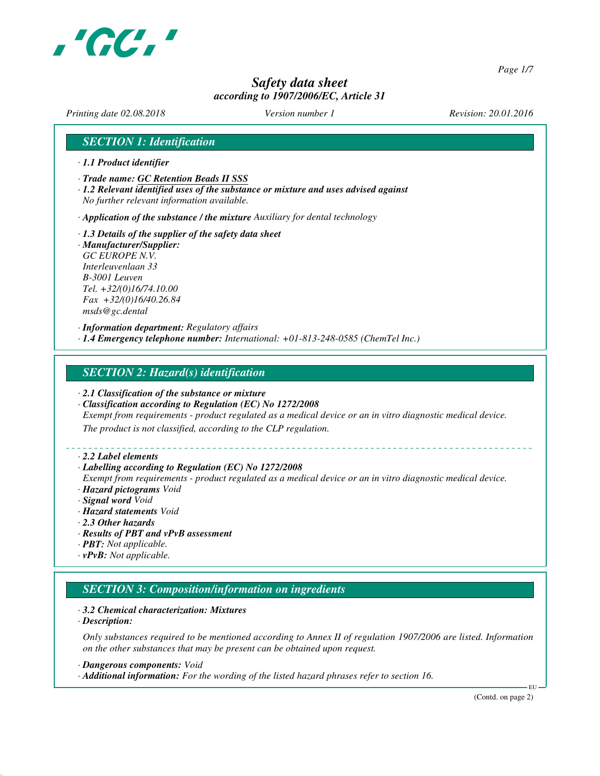

*Page 1/7*

# *Safety data sheet according to 1907/2006/EC, Article 31*

*Printing date 02.08.2018 Version number 1 Revision: 20.01.2016*

## *SECTION 1: Identification*

- *· 1.1 Product identifier*
- *· Trade name: GC Retention Beads II SSS*
- *· 1.2 Relevant identified uses of the substance or mixture and uses advised against No further relevant information available.*
- *· Application of the substance / the mixture Auxiliary for dental technology*
- *· 1.3 Details of the supplier of the safety data sheet · Manufacturer/Supplier: GC EUROPE N.V. Interleuvenlaan 33 B-3001 Leuven Tel. +32/(0)16/74.10.00 Fax +32/(0)16/40.26.84*

*msds@gc.dental*

*· Information department: Regulatory affairs · 1.4 Emergency telephone number: International: +01-813-248-0585 (ChemTel Inc.)*

### *SECTION 2: Hazard(s) identification*

- *· 2.1 Classification of the substance or mixture*
- *· Classification according to Regulation (EC) No 1272/2008*

*Exempt from requirements - product regulated as a medical device or an in vitro diagnostic medical device.*

*The product is not classified, according to the CLP regulation.*

#### *· 2.2 Label elements*

#### *· Labelling according to Regulation (EC) No 1272/2008*

*Exempt from requirements - product regulated as a medical device or an in vitro diagnostic medical device. · Hazard pictograms Void*

- *· Signal word Void*
- *· Hazard statements Void*
- *· 2.3 Other hazards*
- *· Results of PBT and vPvB assessment*
- *· PBT: Not applicable.*
- *· vPvB: Not applicable.*

# *SECTION 3: Composition/information on ingredients*

#### *· 3.2 Chemical characterization: Mixtures*

*· Description:*

*Only substances required to be mentioned according to Annex II of regulation 1907/2006 are listed. Information on the other substances that may be present can be obtained upon request.*

*· Dangerous components: Void*

*· Additional information: For the wording of the listed hazard phrases refer to section 16.*

(Contd. on page 2)

EU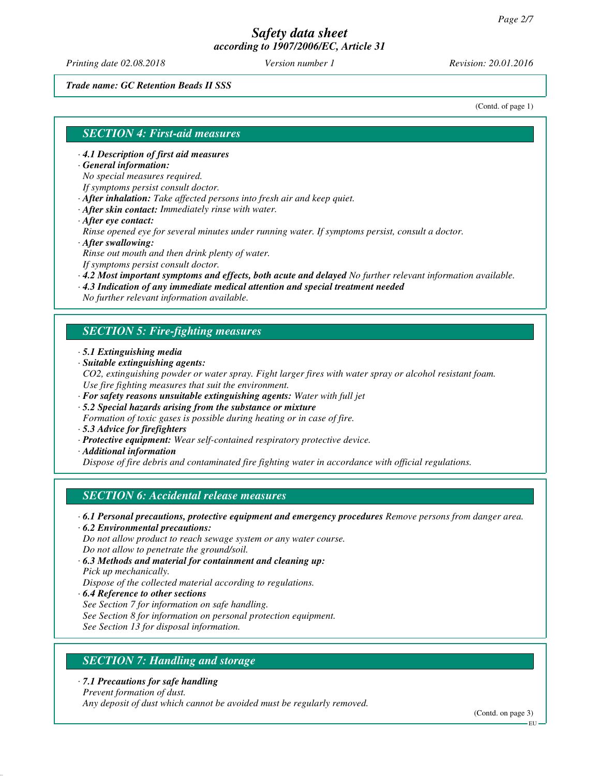*Printing date 02.08.2018 Version number 1 Revision: 20.01.2016*

#### *Trade name: GC Retention Beads II SSS*

(Contd. of page 1)

## *SECTION 4: First-aid measures*

- *· 4.1 Description of first aid measures*
- *· General information:*

*No special measures required.*

*If symptoms persist consult doctor.*

- *· After inhalation: Take affected persons into fresh air and keep quiet.*
- *· After skin contact: Immediately rinse with water.*
- *· After eye contact:*

*Rinse opened eye for several minutes under running water. If symptoms persist, consult a doctor. · After swallowing:*

*Rinse out mouth and then drink plenty of water.*

*If symptoms persist consult doctor.*

- *· 4.2 Most important symptoms and effects, both acute and delayed No further relevant information available.*
- *· 4.3 Indication of any immediate medical attention and special treatment needed*

*No further relevant information available.*

## *SECTION 5: Fire-fighting measures*

- *· 5.1 Extinguishing media*
- *· Suitable extinguishing agents:*
- *CO2, extinguishing powder or water spray. Fight larger fires with water spray or alcohol resistant foam. Use fire fighting measures that suit the environment.*
- *· For safety reasons unsuitable extinguishing agents: Water with full jet*
- *· 5.2 Special hazards arising from the substance or mixture*
- *Formation of toxic gases is possible during heating or in case of fire.*
- *· 5.3 Advice for firefighters*
- *· Protective equipment: Wear self-contained respiratory protective device.*
- *· Additional information*

*Dispose of fire debris and contaminated fire fighting water in accordance with official regulations.*

## *SECTION 6: Accidental release measures*

- *· 6.1 Personal precautions, protective equipment and emergency procedures Remove persons from danger area.*
- *· 6.2 Environmental precautions:*

*Do not allow product to reach sewage system or any water course. Do not allow to penetrate the ground/soil.*

- *· 6.3 Methods and material for containment and cleaning up: Pick up mechanically. Dispose of the collected material according to regulations.*
- *· 6.4 Reference to other sections*
- *See Section 7 for information on safe handling.*
- *See Section 8 for information on personal protection equipment.*

*See Section 13 for disposal information.*

# *SECTION 7: Handling and storage*

*· 7.1 Precautions for safe handling*

*Prevent formation of dust.*

*Any deposit of dust which cannot be avoided must be regularly removed.*

(Contd. on page 3)

EU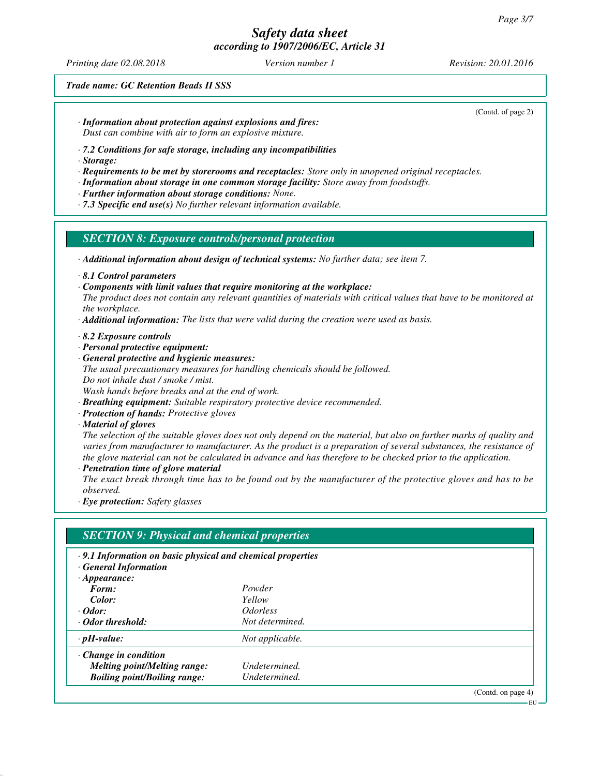*Printing date 02.08.2018 Version number 1 Revision: 20.01.2016*

(Contd. of page 2)

*Trade name: GC Retention Beads II SSS*

*· Information about protection against explosions and fires:*

*Dust can combine with air to form an explosive mixture.*

*· 7.2 Conditions for safe storage, including any incompatibilities*

*· Storage:*

*· Requirements to be met by storerooms and receptacles: Store only in unopened original receptacles.*

*· Information about storage in one common storage facility: Store away from foodstuffs.*

*· Further information about storage conditions: None.*

*· 7.3 Specific end use(s) No further relevant information available.*

## *SECTION 8: Exposure controls/personal protection*

*· Additional information about design of technical systems: No further data; see item 7.*

*· 8.1 Control parameters*

*· Components with limit values that require monitoring at the workplace:*

*The product does not contain any relevant quantities of materials with critical values that have to be monitored at the workplace.*

*· Additional information: The lists that were valid during the creation were used as basis.*

*· 8.2 Exposure controls*

*· Personal protective equipment:*

*· General protective and hygienic measures: The usual precautionary measures for handling chemicals should be followed. Do not inhale dust / smoke / mist. Wash hands before breaks and at the end of work.*

*· Breathing equipment: Suitable respiratory protective device recommended.*

*· Protection of hands: Protective gloves*

*· Material of gloves*

*The selection of the suitable gloves does not only depend on the material, but also on further marks of quality and varies from manufacturer to manufacturer. As the product is a preparation of several substances, the resistance of the glove material can not be calculated in advance and has therefore to be checked prior to the application. · Penetration time of glove material*

*The exact break through time has to be found out by the manufacturer of the protective gloves and has to be observed.*

*· Eye protection: Safety glasses*

# *SECTION 9: Physical and chemical properties*

- *· 9.1 Information on basic physical and chemical properties*
- *· General Information*

| $\cdot$ Appearance:                 |                               |
|-------------------------------------|-------------------------------|
| Form:                               | Powder                        |
| Color:                              | Yellow                        |
| $\cdot$ Odor:                       | <i><u><b>Odorless</b></u></i> |
| · Odor threshold:                   | Not determined.               |
| $\cdot$ pH-value:                   | Not applicable.               |
| $\cdot$ Change in condition         |                               |
| <b>Melting point/Melting range:</b> | Undetermined.                 |
| <b>Boiling point/Boiling range:</b> | Undetermined.                 |
|                                     |                               |

(Contd. on page 4)

**EU**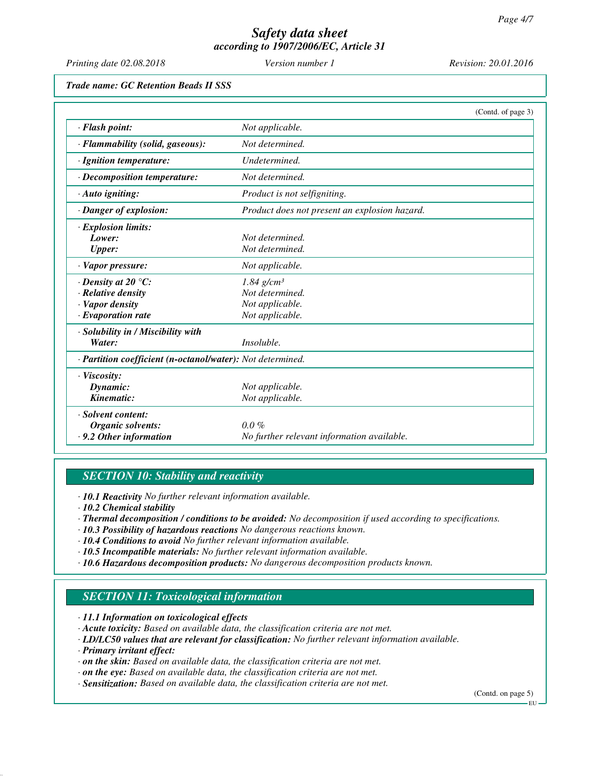*Printing date 02.08.2018 Version number 1 Revision: 20.01.2016*

*Trade name: GC Retention Beads II SSS*

|                                                            |                                               | (Contd. of page 3) |
|------------------------------------------------------------|-----------------------------------------------|--------------------|
| · Flash point:                                             | Not applicable.                               |                    |
| · Flammability (solid, gaseous):                           | Not determined.                               |                    |
| · Ignition temperature:                                    | Undetermined.                                 |                    |
| $\cdot$ Decomposition temperature:                         | Not determined.                               |                    |
| · Auto igniting:                                           | Product is not selfigniting.                  |                    |
| · Danger of explosion:                                     | Product does not present an explosion hazard. |                    |
| <b>Explosion limits:</b>                                   |                                               |                    |
| Lower:                                                     | Not determined.                               |                    |
| <b>Upper:</b>                                              | Not determined.                               |                    |
| · Vapor pressure:                                          | Not applicable.                               |                    |
| $\cdot$ Density at 20 $\degree$ C:                         | $1.84$ g/cm <sup>3</sup>                      |                    |
| · Relative density                                         | Not determined.                               |                    |
| · Vapor density                                            | Not applicable.                               |                    |
| $\cdot$ Evaporation rate                                   | Not applicable.                               |                    |
| · Solubility in / Miscibility with                         |                                               |                    |
| Water:                                                     | Insoluble.                                    |                    |
| · Partition coefficient (n-octanol/water): Not determined. |                                               |                    |
| · Viscosity:                                               |                                               |                    |
| Dynamic:                                                   | Not applicable.                               |                    |
| Kinematic:                                                 | Not applicable.                               |                    |
| · Solvent content:                                         |                                               |                    |
| Organic solvents:                                          | $0.0\%$                                       |                    |
| $\cdot$ 9.2 Other information                              | No further relevant information available.    |                    |

## *SECTION 10: Stability and reactivity*

*· 10.1 Reactivity No further relevant information available.*

- *· 10.2 Chemical stability*
- *· Thermal decomposition / conditions to be avoided: No decomposition if used according to specifications.*
- *· 10.3 Possibility of hazardous reactions No dangerous reactions known.*
- *· 10.4 Conditions to avoid No further relevant information available.*
- *· 10.5 Incompatible materials: No further relevant information available.*
- *· 10.6 Hazardous decomposition products: No dangerous decomposition products known.*

# *SECTION 11: Toxicological information*

*· 11.1 Information on toxicological effects*

- *· Acute toxicity: Based on available data, the classification criteria are not met.*
- *· LD/LC50 values that are relevant for classification: No further relevant information available.*
- *· Primary irritant effect:*
- *· on the skin: Based on available data, the classification criteria are not met.*
- *· on the eye: Based on available data, the classification criteria are not met.*
- *· Sensitization: Based on available data, the classification criteria are not met.*

(Contd. on page 5)

EU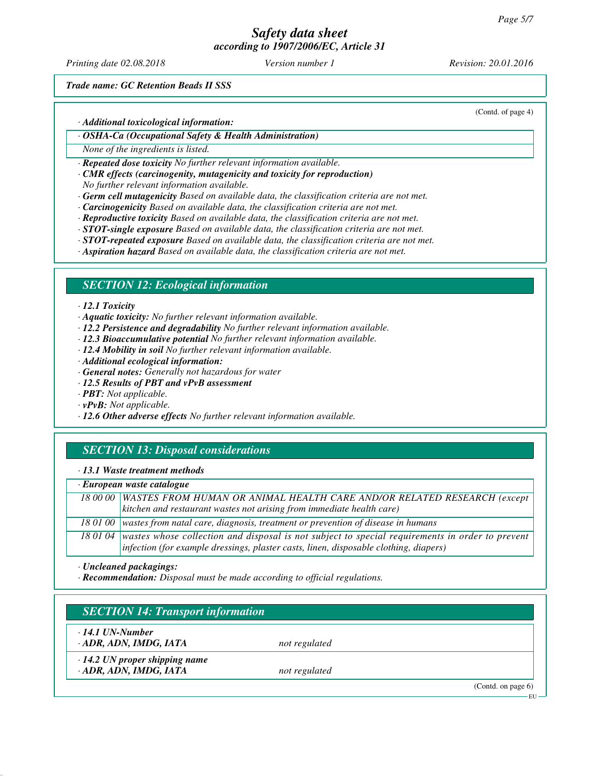*Printing date 02.08.2018 Version number 1 Revision: 20.01.2016*

(Contd. of page 4)

*Trade name: GC Retention Beads II SSS*

*· Additional toxicological information:*

*· OSHA-Ca (Occupational Safety & Health Administration)*

*None of the ingredients is listed.*

*· Repeated dose toxicity No further relevant information available.*

*· CMR effects (carcinogenity, mutagenicity and toxicity for reproduction)*

*No further relevant information available.*

*· Germ cell mutagenicity Based on available data, the classification criteria are not met.*

- *· Carcinogenicity Based on available data, the classification criteria are not met.*
- *· Reproductive toxicity Based on available data, the classification criteria are not met.*

*· STOT-single exposure Based on available data, the classification criteria are not met.*

*· STOT-repeated exposure Based on available data, the classification criteria are not met.*

*· Aspiration hazard Based on available data, the classification criteria are not met.*

## *SECTION 12: Ecological information*

#### *· 12.1 Toxicity*

*· Aquatic toxicity: No further relevant information available.*

- *· 12.2 Persistence and degradability No further relevant information available.*
- *· 12.3 Bioaccumulative potential No further relevant information available.*
- *· 12.4 Mobility in soil No further relevant information available.*
- *· Additional ecological information:*
- *· General notes: Generally not hazardous for water*
- *· 12.5 Results of PBT and vPvB assessment*
- *· PBT: Not applicable.*
- *· vPvB: Not applicable.*
- *· 12.6 Other adverse effects No further relevant information available.*

# *SECTION 13: Disposal considerations*

#### *· 13.1 Waste treatment methods*

| $\cdot$ European waste catalogue |                                                                                                          |  |
|----------------------------------|----------------------------------------------------------------------------------------------------------|--|
|                                  | 18 00 00   WASTES FROM HUMAN OR ANIMAL HEALTH CARE AND/OR RELATED RESEARCH (except                       |  |
|                                  | kitchen and restaurant wastes not arising from immediate health care)                                    |  |
|                                  | 18 01 00 wastes from natal care, diagnosis, treatment or prevention of disease in humans                 |  |
|                                  | 18 01 04 wastes whose collection and disposal is not subject to special requirements in order to prevent |  |
|                                  | $ $ infection (for example dressings, plaster casts, linen, disposable clothing, diapers)                |  |

*· Uncleaned packagings:*

*· Recommendation: Disposal must be made according to official regulations.*

# *SECTION 14: Transport information*

*· 14.1 UN-Number*

*· ADR, ADN, IMDG, IATA not regulated*

*· 14.2 UN proper shipping name*

*· ADR, ADN, IMDG, IATA not regulated*

(Contd. on page 6)

EU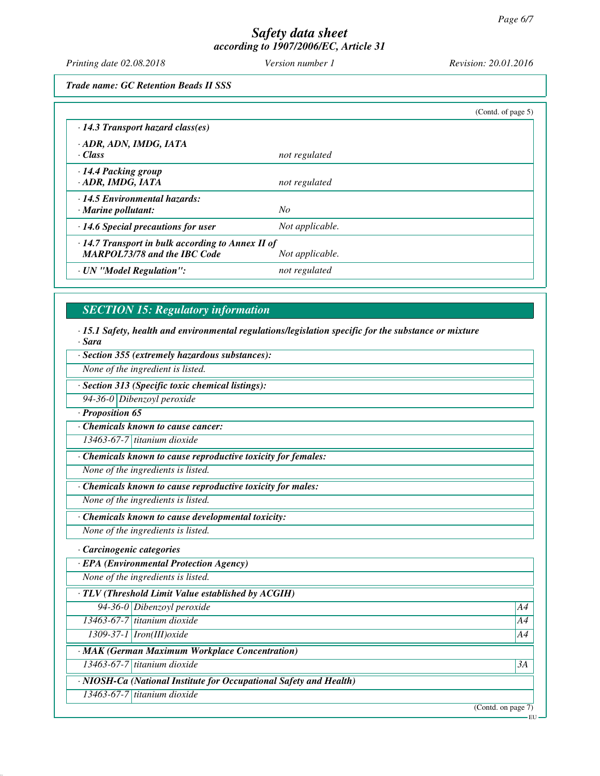*Printing date 02.08.2018 Version number 1 Revision: 20.01.2016*

*Trade name: GC Retention Beads II SSS*

|                                                                                                                   |                 | (Cond. of page 5) |
|-------------------------------------------------------------------------------------------------------------------|-----------------|-------------------|
| $\cdot$ 14.3 Transport hazard class(es)                                                                           |                 |                   |
| · ADR, ADN, IMDG, IATA<br>· Class                                                                                 | not regulated   |                   |
| · 14.4 Packing group<br>· ADR, IMDG, IATA                                                                         | not regulated   |                   |
| 14.5 Environmental hazards:<br>$\cdot$ Marine pollutant:                                                          | No              |                   |
| $\cdot$ 14.6 Special precautions for user                                                                         | Not applicable. |                   |
| $\cdot$ 14.7 Transport in bulk according to Annex II of<br><b>MARPOL73/78 and the IBC Code</b><br>Not applicable. |                 |                   |
| · UN "Model Regulation":                                                                                          | not regulated   |                   |

# *SECTION 15: Regulatory information*

*· 15.1 Safety, health and environmental regulations/legislation specific for the substance or mixture · Sara*

*· Section 355 (extremely hazardous substances):*

*None of the ingredient is listed.*

*· Section 313 (Specific toxic chemical listings):*

*94-36-0 Dibenzoyl peroxide*

*· Proposition 65*

*· Chemicals known to cause cancer:*

*13463-67-7 titanium dioxide*

*· Chemicals known to cause reproductive toxicity for females:*

*None of the ingredients is listed.*

*· Chemicals known to cause reproductive toxicity for males:*

*None of the ingredients is listed.*

*· Chemicals known to cause developmental toxicity:*

*None of the ingredients is listed.*

*· Carcinogenic categories*

*· EPA (Environmental Protection Agency)*

*None of the ingredients is listed.*

*· TLV (Threshold Limit Value established by ACGIH)*

*94-36-0 Dibenzoyl peroxide A4*

*13463-67-7 titanium dioxide A4*

*1309-37-1 Iron(III)oxide A4*

*· MAK (German Maximum Workplace Concentration)*

*13463-67-7 titanium dioxide 3A*

*· NIOSH-Ca (National Institute for Occupational Safety and Health)*

*13463-67-7 titanium dioxide*

(Contd. on page 7)

EU